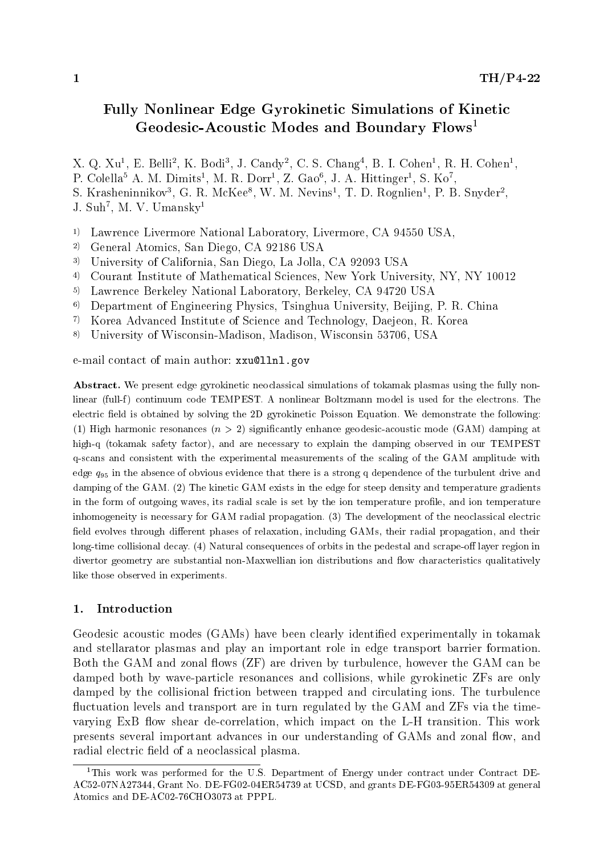# Fully Nonlinear Edge Gyrokinetic Simulations of Kinetic Geodesic-Acoustic Modes and Boundary Flows<sup>1</sup>

 $\Lambda$ . Q.  $\Lambda$ u, E. Dein,  $\Lambda$ . Dour, J. Candy, C. S. Chang, D. I. Cohen,  $\Lambda$ . H. Cohen,  $\Lambda$  $\Gamma$ . Colella $\Gamma$  A. M. Dimits<sup>-</sup>, M. R. Dorr<sup>-</sup>, Z. Gao<sup>-</sup>, J. A. Hittinger-, S. Ko<sup>-</sup>, S. Krasheninnikov , G. R. McKee , W. M. Nevins , I. D. Kogniien , P. D. Snyder , J. Sun , M. V. Umansky<sup>-</sup>

 $\sim$  Lawrence Livermore National Laboratory, Livermore, CA 94560 USA,

- $\sim$  General Atomics, San Diego, CA 92160 USA
- $\sim$  University of California, San Diego, La Jolla, CA 92093 USA
- $\sim$  Courant Institute of Mathematical Sciences, New York University, NY, NY 10012
- $\sim$  Lawrence Berkeley National Laboratory, Berkeley, CA 94720 USA
- $\sim$  Department of Engineering Physics, Tsinghua University, Deifing, P. R. Unina
- $\gamma$  Rorea Advanced Institute of Science and Technology, Daejeon, R. Rorea  $\gamma$
- $\%$  University of Wisconsin-Madison, Madison, Wisconsin 53706, USA  $\%$

e-mail contact of main author: xxu@llnl.gov

Abstract. We present edge gyrokinetic neoclassical simulations of tokamak plasmas using the fully nonlinear (full-f) continuum code TEMPEST. A nonlinear Boltzmann model is used for the electrons. The electric field is obtained by solving the 2D gyrokinetic Poisson Equation. We demonstrate the following: (1) High harmonic resonances  $(n > 2)$  significantly enhance geodesic-acoustic mode (GAM) damping at high-q (tokamak safety factor), and are necessary to explain the damping observed in our TEMPEST q-scans and consistent with the experimental measurements of the scaling of the GAM amplitude with edge  $q_{95}$  in the absence of obvious evidence that there is a strong q dependence of the turbulent drive and damping of the GAM. (2) The kinetic GAM exists in the edge for steep density and temperature gradients in the form of outgoing waves, its radial scale is set by the ion temperature prole, and ion temperature inhomogeneity is necessary for GAM radial propagation. (3) The development of the neoclassical electric field evolves through different phases of relaxation, including GAMs, their radial propagation, and their long-time collisional decay. (4) Natural consequences of orbits in the pedestal and scrape-off layer region in divertor geometry are substantial non-Maxwellian ion distributions and flow characteristics qualitatively like those observed in experiments.

#### $\mathbf{1}$ . **Introduction**

Geodesic acoustic modes (GAMs) have been clearly identied experimentally in tokamak and stellarator plasmas and play an important role in edge transport barrier formation. Both the GAM and zonal flows (ZF) are driven by turbulence, however the GAM can be damped both by wave-particle resonances and collisions, while gyrokinetic ZFs are only damped by the collisional friction between trapped and circulating ions. The turbulence uctuation levels and transport are in turn regulated by the GAM and ZFs via the timevarying ExB flow shear de-correlation, which impact on the L-H transition. This work presents several important advances in our understanding of GAMs and zonal flow, and radial electric field of a neoclassical plasma.

<sup>&</sup>lt;sup>1</sup>This work was performed for the U.S. Department of Energy under contract under Contract DE-AC52-07NA27344, Grant No. DE-FG02-04ER54739 at UCSD, and grants DE-FG03-95ER54309 at general Atomics and DE-AC02-76CHO3073 at PPPL.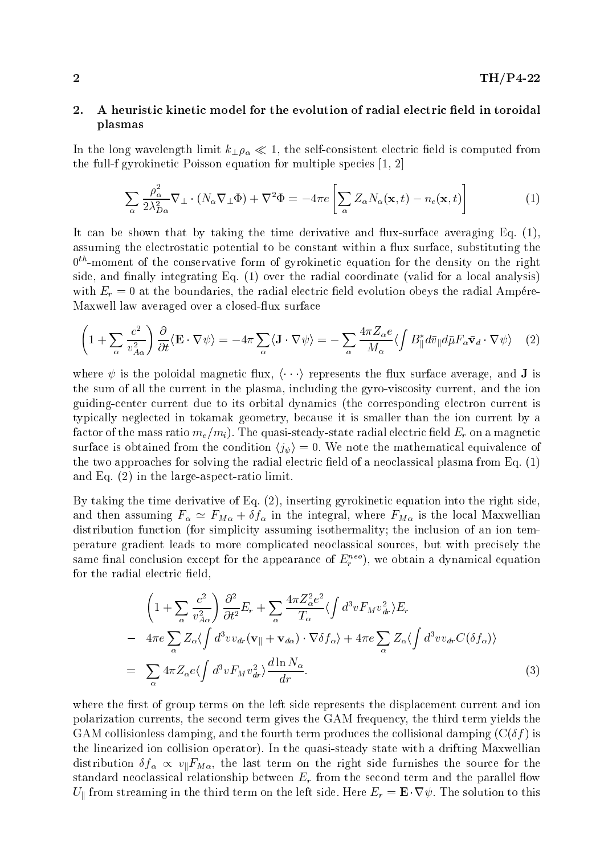# 2. A heuristic kinetic model for the evolution of radial electric field in toroidal plasmas

In the long wavelength limit  $k_{\perp} \rho_{\alpha} \ll 1$ , the self-consistent electric field is computed from the full-f gyrokinetic Poisson equation for multiple species [1, 2]

$$
\sum_{\alpha} \frac{\rho_{\alpha}^2}{2\lambda_{D\alpha}^2} \nabla_{\perp} \cdot (N_{\alpha} \nabla_{\perp} \Phi) + \nabla^2 \Phi = -4\pi e \left[ \sum_{\alpha} Z_{\alpha} N_{\alpha}(\mathbf{x}, t) - n_e(\mathbf{x}, t) \right]
$$
(1)

It can be shown that by taking the time derivative and flux-surface averaging Eq.  $(1)$ , assuming the electrostatic potential to be constant within a flux surface, substituting the  $0<sup>th</sup>$ -moment of the conservative form of gyrokinetic equation for the density on the right side, and finally integrating Eq.  $(1)$  over the radial coordinate (valid for a local analysis) with  $E_r = 0$  at the boundaries, the radial electric field evolution obeys the radial Ampére-Maxwell law averaged over a closed-flux surface

$$
\left(1+\sum_{\alpha}\frac{c^2}{v_{A\alpha}^2}\right)\frac{\partial}{\partial t}\langle\mathbf{E}\cdot\nabla\psi\rangle=-4\pi\sum_{\alpha}\langle\mathbf{J}\cdot\nabla\psi\rangle=-\sum_{\alpha}\frac{4\pi Z_{\alpha}e}{M_{\alpha}}\langle\int B_{\parallel}^*d\bar{v}_{\parallel}d\bar{\mu}F_{\alpha}\bar{\mathbf{v}}_d\cdot\nabla\psi\rangle\tag{2}
$$

where  $\psi$  is the poloidal magnetic flux,  $\langle \cdots \rangle$  represents the flux surface average, and **J** is the sum of all the current in the plasma, including the gyro-viscosity current, and the ion guiding-center current due to its orbital dynamics (the corresponding electron current is typically neglected in tokamak geometry, because it is smaller than the ion current by a factor of the mass ratio  $m_e/m_i$ ). The quasi-steady-state radial electric field  $E_r$  on a magnetic surface is obtained from the condition  $\langle j_{\psi} \rangle = 0$ . We note the mathematical equivalence of the two approaches for solving the radial electric field of a neoclassical plasma from Eq.  $(1)$ and Eq. (2) in the large-aspect-ratio limit.

By taking the time derivative of Eq. (2), inserting gyrokinetic equation into the right side, and then assuming  $F_{\alpha} \simeq F_{M\alpha} + \delta f_{\alpha}$  in the integral, where  $F_{M\alpha}$  is the local Maxwellian distribution function (for simplicity assuming isothermality; the inclusion of an ion temperature gradient leads to more complicated neoclassical sources, but with precisely the same inial conclusion except for the appearance of  $E_r$  = ), we obtain a dynamical equation for the radial electric field,

$$
\left(1+\sum_{\alpha}\frac{c^2}{v_{A\alpha}^2}\right)\frac{\partial^2}{\partial t^2}E_r+\sum_{\alpha}\frac{4\pi Z_{\alpha}^2e^2}{T_{\alpha}}\langle\int d^3v F_M v_{dr}^2\rangle E_r \n-4\pi e\sum_{\alpha}Z_{\alpha}\langle\int d^3vv_{dr}(\mathbf{v}_{\parallel}+\mathbf{v}_{d\alpha})\cdot\nabla\delta f_{\alpha}\rangle+4\pi e\sum_{\alpha}Z_{\alpha}\langle\int d^3vv_{dr}C(\delta f_{\alpha})\rangle \n= \sum_{\alpha}4\pi Z_{\alpha}e\langle\int d^3v F_M v_{dr}^2\rangle\frac{d\ln N_{\alpha}}{dr}.
$$
\n(3)

where the first of group terms on the left side represents the displacement current and ion polarization currents, the second term gives the GAM frequency, the third term yields the GAM collisionless damping, and the fourth term produces the collisional damping  $(C(\delta f))$  is the linearized ion collision operator). In the quasi-steady state with a drifting Maxwellian distribution  $\delta f_\alpha \propto v_{\parallel}F_{M\alpha}$ , the last term on the right side furnishes the source for the standard neoclassical relationship between  $E_r$  from the second term and the parallel flow  $U_{\parallel}$  from streaming in the third term on the left side. Here  $E_r = \mathbf{E} \cdot \nabla \psi$ . The solution to this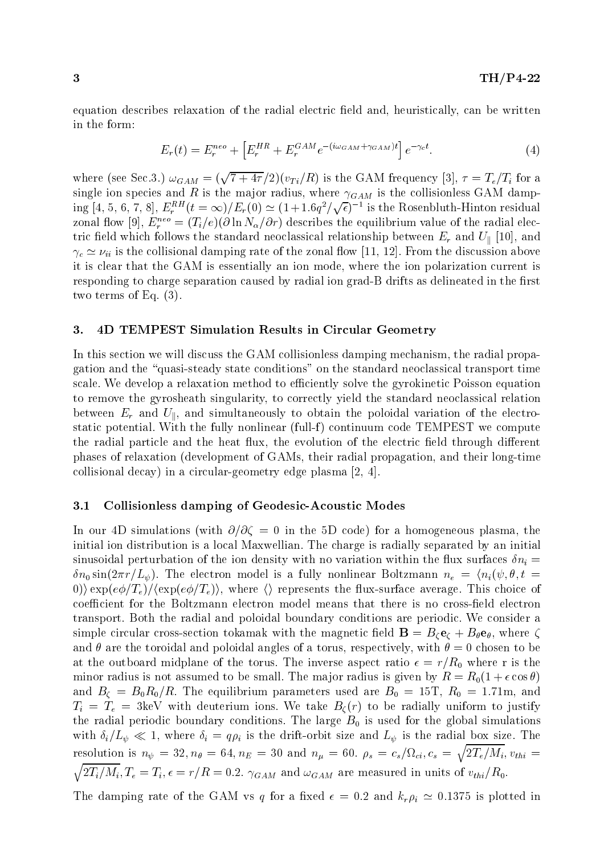equation describes relaxation of the radial electric field and, heuristically, can be written in the form:

$$
E_r(t) = E_r^{neo} + \left[ E_r^{HR} + E_r^{GAM} e^{-(i\omega_{GAM} + \gamma_{GAM})t} \right] e^{-\gamma_c t}.
$$
 (4)

where (see Sec.3.)  $\omega_{GAM} = (\sqrt{7+4\tau}/2)(v_{Ti}/R)$  is the GAM frequency [3],  $\tau = T_e/T_i$  for a single ion species and R is the major radius, where  $\gamma_{GAM}$  is the collisionless GAM damping  $[4, 5, 6, 7, 8], E^{RH}_{r}(t=\infty)/E_{r}(0) \simeq (1+1.6q^{2}/\sqrt{\epsilon})^{-1}$  is the Rosenbluth-Hinton residual zonal now  $[y], E_r^- = (T_i/e)(\theta \ln N_\alpha/\theta r)$  describes the equilibrium value of the radial electric field which follows the standard neoclassical relationship between  $E_r$  and  $U_{\parallel}$  [10], and  $\gamma_c \simeq \nu_{ii}$  is the collisional damping rate of the zonal flow [11, 12]. From the discussion above it is clear that the GAM is essentially an ion mode, where the ion polarization current is responding to charge separation caused by radial ion grad-B drifts as delineated in the first two terms of Eq. (3).

### 3. 4D TEMPEST Simulation Results in Circular Geometry

In this section we will discuss the GAM collisionless damping mechanism, the radial propagation and the \quasi-steady state conditions" on the standard neoclassical transport time scale. We develop a relaxation method to efficiently solve the gyrokinetic Poisson equation to remove the gyrosheath singularity, to correctly yield the standard neoclassical relation between  $E_r$  and  $U_{\parallel}$ , and simultaneously to obtain the poloidal variation of the electrostatic potential. With the fully nonlinear (full-f) continuum code TEMPEST we compute the radial particle and the heat flux, the evolution of the electric field through different phases of relaxation (development of GAMs, their radial propagation, and their long-time collisional decay) in a circular-geometry edge plasma [2, 4].

### 3.1 Collisionless damping of Geodesic-Acoustic Modes

In our 4D simulations (with  $\partial/\partial \zeta = 0$  in the 5D code) for a homogeneous plasma, the initial ion distribution is a local Maxwellian. The charge is radially separated by an initial sinusoidal perturbation of the ion density with no variation within the flux surfaces  $\delta n_i =$  $\delta n_0 \sin(2\pi r/L_\psi)$ . The electron model is a fully nonlinear Boltzmann  $n_e = \langle n_i(\psi, \theta, t =$ 0))  $\exp(e\phi/T_e)/\langle \exp(e\phi/T_e) \rangle$ , where  $\langle \rangle$  represents the flux-surface average. This choice of coefficient for the Boltzmann electron model means that there is no cross-field electron transport. Both the radial and poloidal boundary conditions are periodic. We consider a simple circular cross-section tokamak with the magnetic field  $\mathbf{B} = B_{\ell} \mathbf{e}_{\ell} + B_{\theta} \mathbf{e}_{\theta}$ , where  $\zeta$ and  $\theta$  are the toroidal and poloidal angles of a torus, respectively, with  $\theta = 0$  chosen to be at the outboard midplane of the torus. The inverse aspect ratio  $\epsilon = r/R_0$  where r is the minor radius is not assumed to be small. The major radius is given by  $R = R_0(1 + \epsilon \cos \theta)$ and  $B_{\zeta} = B_0 R_0 / R$ . The equilibrium parameters used are  $B_0 = 15$ T,  $R_0 = 1.71$ m, and  $T_i = T_e = 3 \text{keV}$  with deuterium ions. We take  $B_\zeta(r)$  to be radially uniform to justify the radial periodic boundary conditions. The large  $B_0$  is used for the global simulations with  $\delta_i/L_\psi \ll 1$ , where  $\delta_i = q\rho_i$  is the drift-orbit size and  $L_\psi$  is the radial box size. The resolution is  $n_{\psi} = 32, n_{\theta} = 64, n_E = 30$  and  $n_{\mu} = 60$ .  $\rho_s = c_s/\Omega_{ci}$ ,  $c_s = \sqrt{2T_e/M_i}$ ,  $v_{thi} =$  $\overline{a}$  and  $\overline{a}$  and  $\overline{a}$  and  $\overline{a}$  and  $\overline{a}$  and  $\overline{a}$  and  $\overline{a}$  and  $\overline{a}$  and  $\overline{a}$  and  $\overline{a}$  and  $\overline{a}$  and  $\overline{a}$  and  $\overline{a}$  and  $\overline{a}$  and  $\overline{a}$  and  $\overline{a}$  and  $\overline{a}$  and  $\mathbb{R}$   $\mathbb{R}$   $\mathbb{R}$   $\mathbb{R}$   $\mathbb{R}$   $\mathbb{R}$   $\mathbb{R}$   $\mathbb{R}$   $\mathbb{R}$   $\mathbb{R}$   $\mathbb{R}$   $\mathbb{R}$   $\mathbb{R}$   $\mathbb{R}$   $\mathbb{R}$   $\mathbb{R}$   $\mathbb{R}$   $\mathbb{R}$   $\mathbb{R}$   $\mathbb{R}$   $\mathbb{R}$   $\mathbb{R}$   $\mathbb{R}$   $\mathbb{R}$   $\mathbb{$ 

The damping rate of the GAM vs q for a fixed  $\epsilon = 0.2$  and  $k_r \rho_i \simeq 0.1375$  is plotted in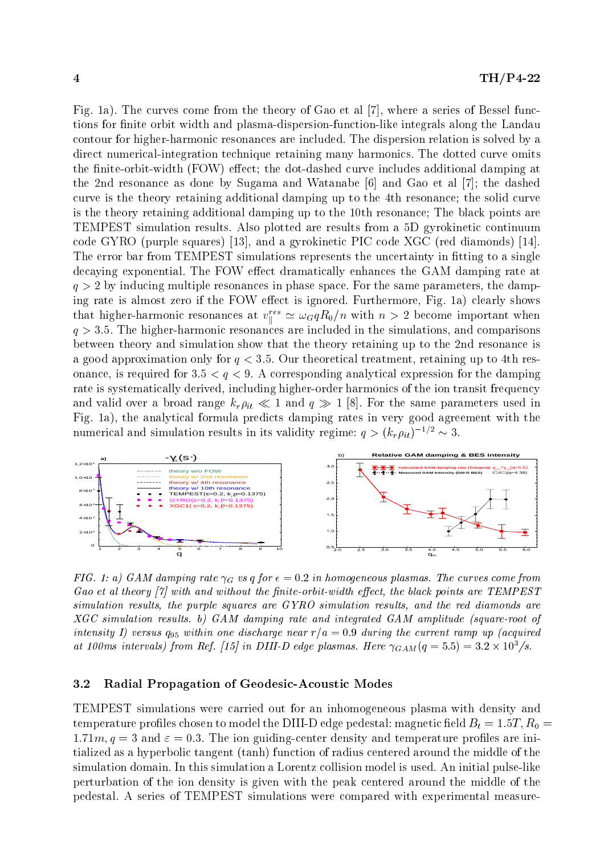Fig. 1a). The curves come from the theory of Gao et al [7], where a series of Bessel functions for finite orbit width and plasma-dispersion-function-like integrals along the Landau contour for higher-harmonic resonances are included. The dispersion relation is solved by a direct numerical-integration technique retaining many harmonics. The dotted curve omits the finite-orbit-width (FOW) effect; the dot-dashed curve includes additional damping at the 2nd resonance as done by Sugama and Watanabe [6] and Gao et al [7]; the dashed curve is the theory retaining additional damping up to the 4th resonance; the solid curve is the theory retaining additional damping up to the 10th resonance; The black points are TEMPEST simulation results. Also plotted are results from a 5D gyrokinetic continuum code GYRO (purple squares) [13], and a gyrokinetic PIC code XGC (red diamonds) [14]. The error bar from TEMPEST simulations represents the uncertainty in fitting to a single decaying exponential. The FOW effect dramatically enhances the GAM damping rate at  $q > 2$  by inducing multiple resonances in phase space. For the same parameters, the damping rate is almost zero if the FOW effect is ignored. Furthermore, Fig. 1a) clearly shows that higher-harmonic resonances at  $v_{\parallel}^{cc} \cong \omega_G q R_0/n$  with  $n > 2$  become important when  $q > 3.5$ . The higher-harmonic resonances are included in the simulations, and comparisons between theory and simulation show that the theory retaining up to the 2nd resonance is a good approximation only for  $q < 3.5$ . Our theoretical treatment, retaining up to 4th resonance, is required for  $3.5 < q < 9$ . A corresponding analytical expression for the damping rate is systematically derived, including higher-order harmonics of the ion transit frequency and valid over a broad range  $k_r \rho_{it} \ll 1$  and  $q \gg 1$  [8]. For the same parameters used in Fig. 1a), the analytical formula predicts damping rates in very good agreement with the numerical and simulation results in its validity regime:  $q > (k_r \rho_{it})^{-1/2} \sim 3$ .



FIG. 1: a) GAM damping rate  $\gamma_G$  vs q for  $\epsilon = 0.2$  in homogeneous plasmas. The curves come from Gao et al theory  $\vert 7 \vert$  with and without the finite-orbit-width effect, the black points are TEMPEST simulation results, the purple squares are GYRO simulation results, and the red diamonds are XGC simulation results. b) GAM damping rate and integrated GAM amplitude (square-root of intensity I) versus  $q_{95}$  within one discharge near  $r/a = 0.9$  during the current ramp up (acquired at looms intervals) from Ref. [15] in D111-D eage plasmas. Here  $\gamma_{GAM}(q=5.5) = 3.2 \times 10^7$ /s.

# 3.2 Radial Propagation of Geodesic-Acoustic Modes

TEMPEST simulations were carried out for an inhomogeneous plasma with density and temperature profiles chosen to model the DIII-D edge pedestal: magnetic field  $B_t = 1.5T, R_0 =$  $1.71m, q = 3$  and  $\varepsilon = 0.3$ . The ion guiding-center density and temperature profiles are initialized as a hyperbolic tangent (tanh) function of radius centered around the middle of the simulation domain. In this simulation a Lorentz collision model is used. An initial pulse-like perturbation of the ion density is given with the peak centered around the middle of the pedestal. A series of TEMPEST simulations were compared with experimental measure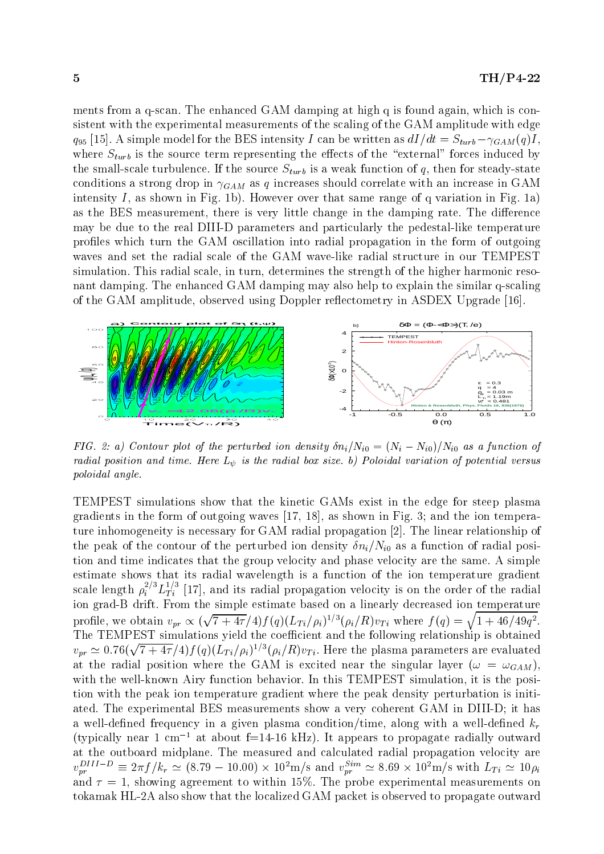ments from a q-scan. The enhanced GAM damping at high q is found again, which is consistent with the experimental measurements of the scaling of the GAM amplitude with edge  $q_{95}$  [15]. A simple model for the BES intensity I can be written as  $dI/dt = S_{turb} - \gamma_{GAM}(q)I$ , where  $S_{turb}$  is the source term representing the effects of the "external" forces induced by the small-scale turbulence. If the source  $S_{turb}$  is a weak function of q, then for steady-state conditions a strong drop in  $\gamma_{GAM}$  as q increases should correlate with an increase in GAM intensity I, as shown in Fig. 1b). However over that same range of q variation in Fig. 1a) as the BES measurement, there is very little change in the damping rate. The difference may be due to the real DIII-D parameters and particularly the pedestal-like temperature profiles which turn the GAM oscillation into radial propagation in the form of outgoing waves and set the radial scale of the GAM wave-like radial structure in our TEMPEST simulation. This radial scale, in turn, determines the strength of the higher harmonic resonant damping. The enhanced GAM damping may also help to explain the similar q-scaling of the GAM amplitude, observed using Doppler reflectometry in ASDEX Upgrade [16].



FIG. 2: a) Contour plot of the perturbed ion density  $\delta n_i/N_{i0}=(N_i-N_{i0})/N_{i0}$  as a function of radial position and time. Here  $L_{\psi}$  is the radial box size. b) Poloidal variation of potential versus poloidal angle.

TEMPEST simulations show that the kinetic GAMs exist in the edge for steep plasma gradients in the form of outgoing waves [17, 18], as shown in Fig. 3; and the ion temperature inhomogeneity is necessary for GAM radial propagation [2]. The linear relationship of the peak of the contour of the perturbed ion density  $\delta n_i/N_{i0}$  as a function of radial position and time indicates that the group velocity and phase velocity are the same. A simple estimate shows that its radial wavelength is a function of the ion temperature gradient scale length  $\rho_i^{\tau_i\tau}L_{Ti}^{\tau_i\tau}$  [17], and its radial propagation velocity is on the order of the radial ion grad-B drift. From the simple estimate based on a linearly decreased ion temperature profile, we obtain  $v_{pr} \propto (\sqrt{7+4\tau}/4) f(q) (L_{Ti}/\rho_i)^{1/3} (\rho_i/R) v_{Ti}$  where  $f(q) = \sqrt{1+46/49q^2}$ . The TEMPEST simulations yield the coefficient and the following relationship is obtained  $v_{pr} \simeq 0.76(\sqrt{7+4\tau}/4)f(q)(L_{Ti}/\rho_i)^{1/3}(\rho_i/R)v_{Ti}$ . Here the plasma parameters are evaluated at the radial position where the GAM is excited near the singular layer ( $\omega = \omega_{GAM}$ ). with the well-known Airy function behavior. In this TEMPEST simulation, it is the position with the peak ion temperature gradient where the peak density perturbation is initiated. The experimental BES measurements show a very coherent GAM in DIII-D; it has a well-defined frequency in a given plasma condition/time, along with a well-defined  $k_r$ (typically near 1 cm<sup>-1</sup> at about f=14-16 kHz). It appears to propagate radially outward at the outboard midplane. The measured and calculated radial propagation velocity are  $v_{pr}^{S_{T1}}$   $\cong \frac{1}{2}\pi f/k_r \approx (8.79 - 10.00) \times 10^2$  m/s and  $v_{pr}^{S_{T1}} \approx 8.69 \times 10^2$  m/s with  $L_{Ti} \approx 10 \rho_i$ and  $\tau = 1$ , showing agreement to within 15%. The probe experimental measurements on tokamak HL-2A also show that the localized GAM packet is observed to propagate outward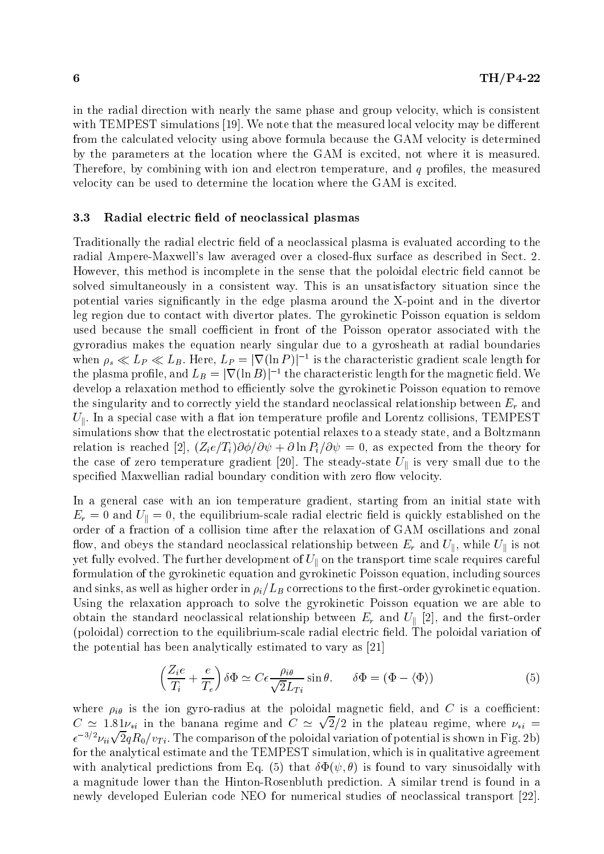in the radial direction with nearly the same phase and group velocity, which is consistent with TEMPEST simulations  $[19]$ . We note that the measured local velocity may be different from the calculated velocity using above formula because the GAM velocity is determined by the parameters at the location where the GAM is excited, not where it is measured. Therefore, by combining with ion and electron temperature, and  $q$  profiles, the measured velocity can be used to determine the location where the GAM is excited.

#### 3.3 Radial electric field of neoclassical plasmas

Traditionally the radial electric field of a neoclassical plasma is evaluated according to the radial Ampere-Maxwell's law averaged over a closedux surface as described in Sect. 2. However, this method is incomplete in the sense that the poloidal electric field cannot be solved simultaneously in a consistent way. This is an unsatisfactory situation since the potential varies signicantly in the edge plasma around the X-point and in the divertor leg region due to contact with divertor plates. The gyrokinetic Poisson equation is seldom used because the small coefficient in front of the Poisson operator associated with the gyroradius makes the equation nearly singular due to a gyrosheath at radial boundaries when  $\rho_s \ll L_P \ll L_B$ . Here,  $L_P \equiv |\nabla(\ln P)|^{-1}$  is the characteristic gradient scale length for the plasma profile, and  $L_B = |\nabla(\ln B)|^{-1}$  the characteristic length for the magnetic field. We develop a relaxation method to efficiently solve the gyrokinetic Poisson equation to remove the singularity and to correctly yield the standard neoclassical relationship between  $E_r$  and  $U_{\parallel}$ . In a special case with a flat ion temperature profile and Lorentz collisions, TEMPEST simulations show that the electrostatic potential relaxes to a steady state, and a Boltzmann relation is reached [2],  $(Z_i e/T_i)\partial\phi/\partial\psi + \partial \ln P_i/\partial\psi = 0$ , as expected from the theory for the case of zero temperature gradient [20]. The steady-state  $U_{\parallel}$  is very small due to the specified Maxwellian radial boundary condition with zero flow velocity.

In a general case with an ion temperature gradient, starting from an initial state with  $E_r = 0$  and  $U_{\parallel} = 0$ , the equilibrium-scale radial electric field is quickly established on the order of a fraction of a collision time after the relaxation of GAM oscillations and zonal flow, and obeys the standard neoclassical relationship between  $E_r$  and  $U_{\parallel}$ , while  $U_{\parallel}$  is not yet fully evolved. The further development of  $U_{\parallel}$  on the transport time scale requires careful formulation of the gyrokinetic equation and gyrokinetic Poisson equation, including sources and sinks, as well as higher order in  $\rho_i/L_B$  corrections to the first-order gyrokinetic equation. Using the relaxation approach to solve the gyrokinetic Poisson equation we are able to obtain the standard neoclassical relationship between  $E_r$  and  $U_{\parallel}$  [2], and the first-order (poloidal) correction to the equilibrium-scale radial electric field. The poloidal variation of the potential has been analytically estimated to vary as [21]

$$
\left(\frac{Z_i e}{T_i} + \frac{e}{T_e}\right) \delta \Phi \simeq C \epsilon \frac{\rho_{i\theta}}{\sqrt{2} L_{Ti}} \sin \theta. \qquad \delta \Phi = (\Phi - \langle \Phi \rangle)
$$
\n(5)

where  $\rho_{i\theta}$  is the ion gyro-radius at the poloidal magnetic field, and C is a coefficient:  $C \simeq 1.81\nu_{*i}$  in the banana regime and  $C \simeq \sqrt{2}/2$  in the plateau regime, where  $\nu_{*i} =$  $\epsilon^{-3/2}\nu_{ii}\sqrt{2}qR_0/v_{Ti}.$  The comparison of the poloidal variation of potential is shown in Fig. 2b) for the analytical estimate and the TEMPEST simulation, which is in qualitative agreement with analytical predictions from Eq. (5) that  $\delta \Phi(\psi, \theta)$  is found to vary sinusoidally with a magnitude lower than the Hinton-Rosenbluth prediction. A similar trend is found in a newly developed Eulerian code NEO for numerical studies of neoclassical transport [22].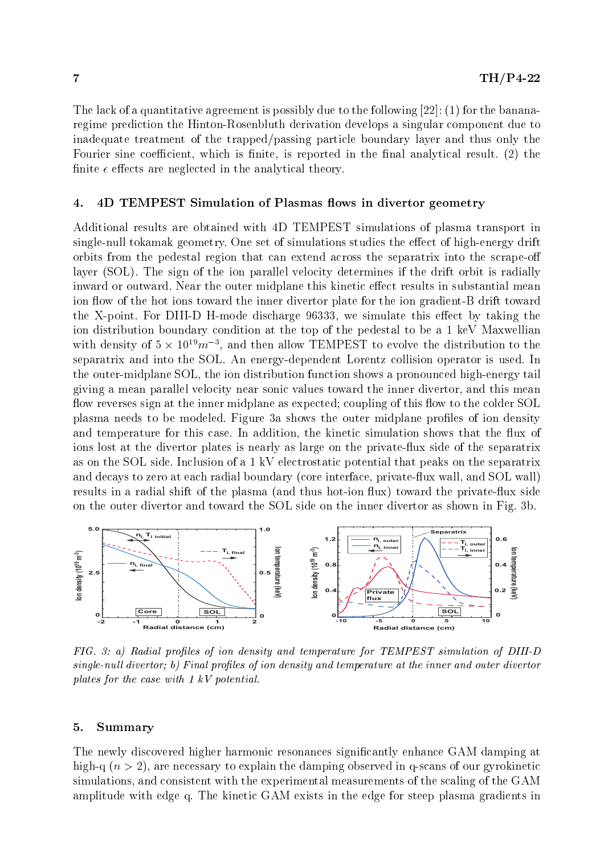The lack of a quantitative agreement is possibly due to the following  $[22]$ : (1) for the bananaregime prediction the Hinton-Rosenbluth derivation develops a singular component due to inadequate treatment of the trapped/passing particle boundary layer and thus only the Fourier sine coefficient, which is finite, is reported in the final analytical result.  $(2)$  the finite  $\epsilon$  effects are neglected in the analytical theory.

# 4. 4D TEMPEST Simulation of Plasmas flows in divertor geometry

Additional results are obtained with 4D TEMPEST simulations of plasma transport in single-null tokamak geometry. One set of simulations studies the effect of high-energy drift orbits from the pedestal region that can extend across the separatrix into the scrape-o layer (SOL). The sign of the ion parallel velocity determines if the drift orbit is radially inward or outward. Near the outer midplane this kinetic effect results in substantial mean ion flow of the hot ions toward the inner divertor plate for the ion gradient-B drift toward the X-point. For DIII-D H-mode discharge 96333, we simulate this effect by taking the ion distribution boundary condition atthe top of the pedestal to be a 1 keV Maxwellian with density of  $5 \times 10^{-3} m^{-3}$ , and then allow TEMPEST to evolve the distribution to the separatrix and into the SOL. An energy-dependent Lorentz collision operator is used. In the outer-midplane SOL, the ion distribution function shows a pronounced high-energy tail giving a mean parallel velocity near sonic values toward the inner divertor, and this mean flow reverses sign at the inner midplane as expected; coupling of this flow to the colder SOL plasma needs to be modeled. Figure 3a shows the outer midplane profiles of ion density and temperature for this case. In addition, the kinetic simulation shows that the flux of ions lost at the divertor plates is nearly as large on the privateux side of the separatrix as on the SOL side. Inclusion of a 1 kV electrostatic potential that peaks on the separatrix and decays to zero at each radial boundary (core interface, private-flux wall, and SOL wall) results in a radial shift of the plasma (and thus hot-ion flux) toward the private-flux side on the outer divertor and toward the SOL side on the inner divertor as shown in Fig. 3b.



FIG. 3: a) Radial profiles of ion density and temperature for TEMPEST simulation of DIII-D  $single-null$  divertor; b) Final profiles of ion density and temperature at the inner and outer divertor plates for the case with 1 kV potential.

### 5. Summary

The newly discovered higher harmonic resonances signicantly enhance GAM damping at high-q  $(n> 2)$ , are necessary to explain the damping observed in q-scans of our gyrokinetic simulations, and consistent with the experimental measurements of the scaling of the GAM amplitude with edge q. The kinetic GAM exists in the edge for steep plasma gradients in